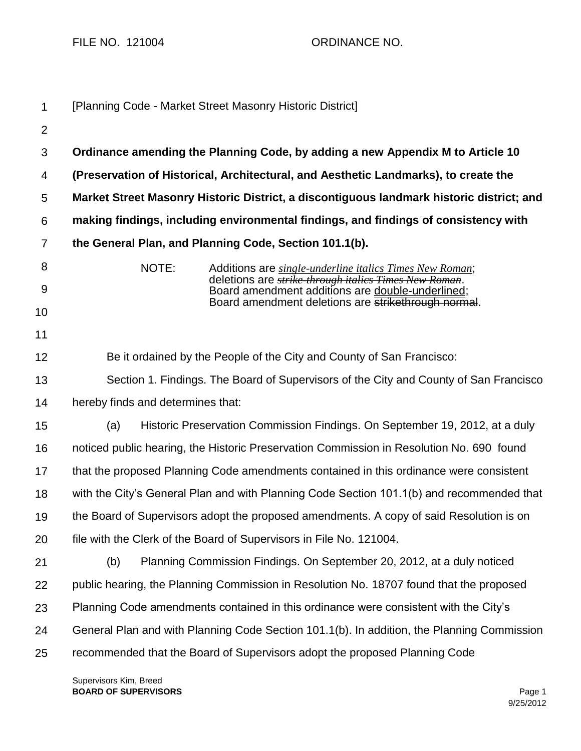FILE NO. 121004 ORDINANCE NO.

| 1               |                                   | [Planning Code - Market Street Masonry Historic District]                                                                                                            |
|-----------------|-----------------------------------|----------------------------------------------------------------------------------------------------------------------------------------------------------------------|
| $\overline{2}$  |                                   |                                                                                                                                                                      |
| 3               |                                   | Ordinance amending the Planning Code, by adding a new Appendix M to Article 10                                                                                       |
| 4               |                                   | (Preservation of Historical, Architectural, and Aesthetic Landmarks), to create the                                                                                  |
| $5\phantom{.0}$ |                                   | Market Street Masonry Historic District, a discontiguous landmark historic district; and                                                                             |
| 6               |                                   | making findings, including environmental findings, and findings of consistency with                                                                                  |
| $\overline{7}$  |                                   | the General Plan, and Planning Code, Section 101.1(b).                                                                                                               |
| 8<br>9          | NOTE:                             | Additions are single-underline italics Times New Roman;<br>deletions are strike through italics Times New Roman.<br>Board amendment additions are double-underlined; |
| 10              |                                   | Board amendment deletions are strikethrough normal.                                                                                                                  |
| 11              |                                   |                                                                                                                                                                      |
| 12              |                                   | Be it ordained by the People of the City and County of San Francisco:                                                                                                |
| 13              |                                   | Section 1. Findings. The Board of Supervisors of the City and County of San Francisco                                                                                |
| 14              | hereby finds and determines that: |                                                                                                                                                                      |
| 15              | (a)                               | Historic Preservation Commission Findings. On September 19, 2012, at a duly                                                                                          |
| 16              |                                   | noticed public hearing, the Historic Preservation Commission in Resolution No. 690 found                                                                             |
| 17              |                                   | that the proposed Planning Code amendments contained in this ordinance were consistent                                                                               |
| 18              |                                   | with the City's General Plan and with Planning Code Section 101.1(b) and recommended that                                                                            |
| 19              |                                   | the Board of Supervisors adopt the proposed amendments. A copy of said Resolution is on                                                                              |
| 20              |                                   | file with the Clerk of the Board of Supervisors in File No. 121004.                                                                                                  |
| 21              | (b)                               | Planning Commission Findings. On September 20, 2012, at a duly noticed                                                                                               |
| 22              |                                   | public hearing, the Planning Commission in Resolution No. 18707 found that the proposed                                                                              |
| 23              |                                   | Planning Code amendments contained in this ordinance were consistent with the City's                                                                                 |
| 24              |                                   | General Plan and with Planning Code Section 101.1(b). In addition, the Planning Commission                                                                           |
| 25              |                                   | recommended that the Board of Supervisors adopt the proposed Planning Code                                                                                           |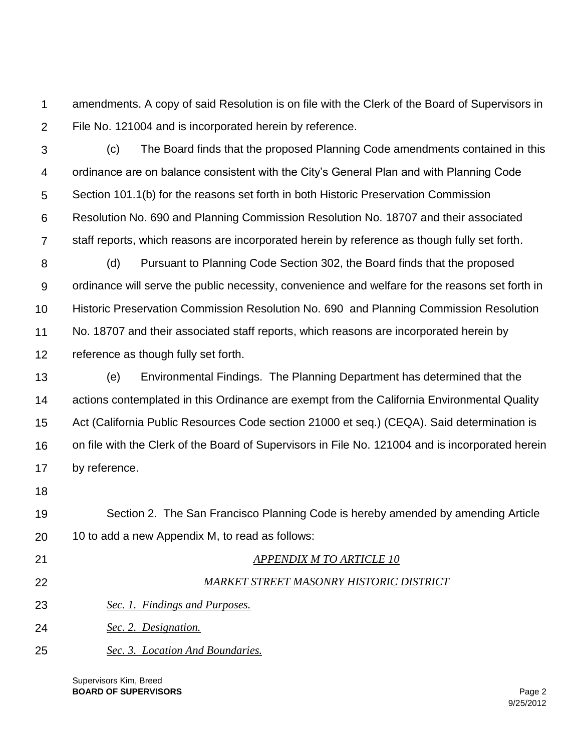1  $\mathcal{P}$ amendments. A copy of said Resolution is on file with the Clerk of the Board of Supervisors in File No. 121004 and is incorporated herein by reference.

- 3 4 5 6 7 (c) The Board finds that the proposed Planning Code amendments contained in this ordinance are on balance consistent with the City's General Plan and with Planning Code Section 101.1(b) for the reasons set forth in both Historic Preservation Commission Resolution No. 690 and Planning Commission Resolution No. 18707 and their associated staff reports, which reasons are incorporated herein by reference as though fully set forth.
- 8 9 10 11 12 (d) Pursuant to Planning Code Section 302, the Board finds that the proposed ordinance will serve the public necessity, convenience and welfare for the reasons set forth in Historic Preservation Commission Resolution No. 690 and Planning Commission Resolution No. 18707 and their associated staff reports, which reasons are incorporated herein by reference as though fully set forth.
- 13 14 15 16 17 (e) Environmental Findings. The Planning Department has determined that the actions contemplated in this Ordinance are exempt from the California Environmental Quality Act (California Public Resources Code section 21000 et seq.) (CEQA). Said determination is on file with the Clerk of the Board of Supervisors in File No. 121004 and is incorporated herein by reference.
- 18
- 19 20 Section 2. The San Francisco Planning Code is hereby amended by amending Article 10 to add a new Appendix M, to read as follows:
- 21
- 22

## *APPENDIX M TO ARTICLE 10*

## *MARKET STREET MASONRY HISTORIC DISTRICT*

- 23 *Sec. 1. Findings and Purposes.*
- 24 *Sec. 2. Designation.*
- 25 *Sec. 3. Location And Boundaries.*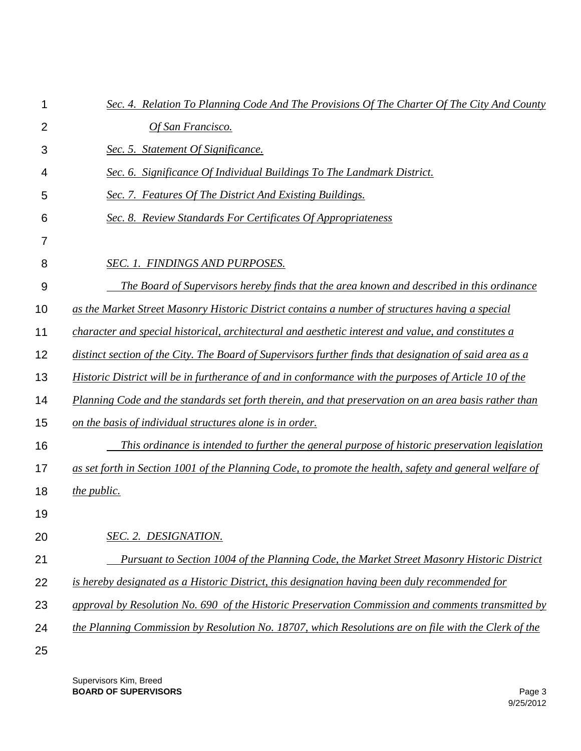| 1              | Sec. 4. Relation To Planning Code And The Provisions Of The Charter Of The City And County                   |
|----------------|--------------------------------------------------------------------------------------------------------------|
| $\overline{2}$ | Of San Francisco.                                                                                            |
| 3              | Sec. 5. Statement Of Significance.                                                                           |
| 4              | Sec. 6. Significance Of Individual Buildings To The Landmark District.                                       |
| 5              | Sec. 7. Features Of The District And Existing Buildings.                                                     |
| 6              | <b>Sec. 8. Review Standards For Certificates Of Appropriateness</b>                                          |
| 7              |                                                                                                              |
| 8              | SEC. 1. FINDINGS AND PURPOSES.                                                                               |
| 9              | The Board of Supervisors hereby finds that the area known and described in this ordinance                    |
| 10             | as the Market Street Masonry Historic District contains a number of structures having a special              |
| 11             | character and special historical, architectural and aesthetic interest and value, and constitutes a          |
| 12             | distinct section of the City. The Board of Supervisors further finds that designation of said area as a      |
| 13             | <i>Historic District will be in furtherance of and in conformance with the purposes of Article 10 of the</i> |
| 14             | Planning Code and the standards set forth therein, and that preservation on an area basis rather than        |
| 15             | on the basis of individual structures alone is in order.                                                     |
| 16             | This ordinance is intended to further the general purpose of historic preservation legislation               |
| 17             | as set forth in Section 1001 of the Planning Code, to promote the health, safety and general welfare of      |
| 18             | the public.                                                                                                  |
| 19             |                                                                                                              |
| 20             | SEC. 2. DESIGNATION.                                                                                         |
| 21             | Pursuant to Section 1004 of the Planning Code, the Market Street Masonry Historic District                   |
| 22             | is hereby designated as a Historic District, this designation having been duly recommended for               |
| 23             | approval by Resolution No. 690 of the Historic Preservation Commission and comments transmitted by           |
| 24             | the Planning Commission by Resolution No. 18707, which Resolutions are on file with the Clerk of the         |
| 25             |                                                                                                              |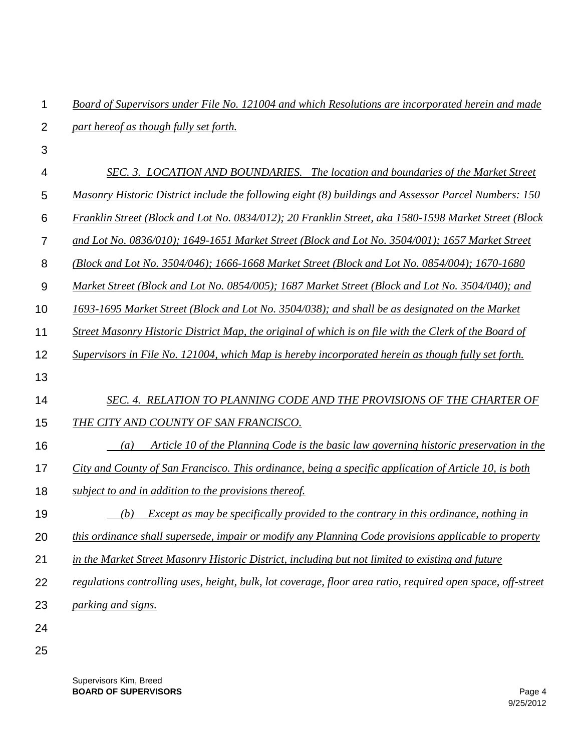1  $\mathcal{P}$ *Board of Supervisors under File No. 121004 and which Resolutions are incorporated herein and made part hereof as though fully set forth.*

3

## 4 *SEC. 3. LOCATION AND BOUNDARIES. The location and boundaries of the Market Street*

- 5 *Masonry Historic District include the following eight (8) buildings and Assessor Parcel Numbers: 150*
- 6 *Franklin Street (Block and Lot No. 0834/012); 20 Franklin Street, aka 1580-1598 Market Street (Block*
- 7 *and Lot No. 0836/010); 1649-1651 Market Street (Block and Lot No. 3504/001); 1657 Market Street*
- 8 *(Block and Lot No. 3504/046); 1666-1668 Market Street (Block and Lot No. 0854/004); 1670-1680*
- 9 *Market Street (Block and Lot No. 0854/005); 1687 Market Street (Block and Lot No. 3504/040); and*
- 10 *1693-1695 Market Street (Block and Lot No. 3504/038); and shall be as designated on the Market*
- 11 *Street Masonry Historic District Map, the original of which is on file with the Clerk of the Board of*
- 12 *Supervisors in File No. 121004, which Map is hereby incorporated herein as though fully set forth.*
- 13

## 14 *SEC. 4. RELATION TO PLANNING CODE AND THE PROVISIONS OF THE CHARTER OF*

- 15 *THE CITY AND COUNTY OF SAN FRANCISCO.*
- 16  *(a) Article 10 of the Planning Code is the basic law governing historic preservation in the*
- 17 *City and County of San Francisco. This ordinance, being a specific application of Article 10, is both*
- 18 *subject to and in addition to the provisions thereof.*
- 19  *(b) Except as may be specifically provided to the contrary in this ordinance, nothing in*
- 20 *this ordinance shall supersede, impair or modify any Planning Code provisions applicable to property*
- 21 *in the Market Street Masonry Historic District, including but not limited to existing and future*
- 22 *regulations controlling uses, height, bulk, lot coverage, floor area ratio, required open space, off-street*
- 23 *parking and signs.*
- 24
- 25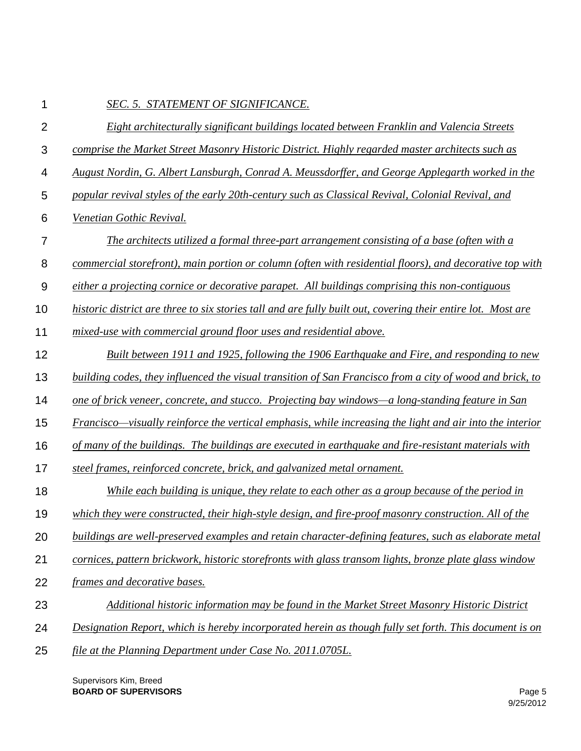| 1              | SEC. 5. STATEMENT OF SIGNIFICANCE.                                                                           |
|----------------|--------------------------------------------------------------------------------------------------------------|
| $\overline{2}$ | Eight architecturally significant buildings located between Franklin and Valencia Streets                    |
| 3              | comprise the Market Street Masonry Historic District. Highly regarded master architects such as              |
| 4              | August Nordin, G. Albert Lansburgh, Conrad A. Meussdorffer, and George Applegarth worked in the              |
| 5              | popular revival styles of the early 20th-century such as Classical Revival, Colonial Revival, and            |
| 6              | Venetian Gothic Revival.                                                                                     |
| $\overline{7}$ | The architects utilized a formal three-part arrangement consisting of a base (often with a                   |
| 8              | commercial storefront), main portion or column (often with residential floors), and decorative top with      |
| $9$            | either a projecting cornice or decorative parapet. All buildings comprising this non-contiguous              |
| 10             | historic district are three to six stories tall and are fully built out, covering their entire lot. Most are |
| 11             | mixed-use with commercial ground floor uses and residential above.                                           |
| 12             | Built between 1911 and 1925, following the 1906 Earthquake and Fire, and responding to new                   |
| 13             | building codes, they influenced the visual transition of San Francisco from a city of wood and brick, to     |
| 14             | one of brick veneer, concrete, and stucco. Projecting bay windows—a long-standing feature in San             |
| 15             | Francisco—visually reinforce the vertical emphasis, while increasing the light and air into the interior     |
| 16             | of many of the buildings. The buildings are executed in earthquake and fire-resistant materials with         |
| 17             | steel frames, reinforced concrete, brick, and galvanized metal ornament.                                     |
| 18             | While each building is unique, they relate to each other as a group because of the period in                 |
| 19             | which they were constructed, their high-style design, and fire-proof masonry construction. All of the        |
| 20             | buildings are well-preserved examples and retain character-defining features, such as elaborate metal        |
| 21             | cornices, pattern brickwork, historic storefronts with glass transom lights, bronze plate glass window       |
| 22             | frames and decorative bases.                                                                                 |
| 23             | Additional historic information may be found in the Market Street Masonry Historic District                  |
| 24             | Designation Report, which is hereby incorporated herein as though fully set forth. This document is on       |
| 25             | file at the Planning Department under Case No. 2011.0705L.                                                   |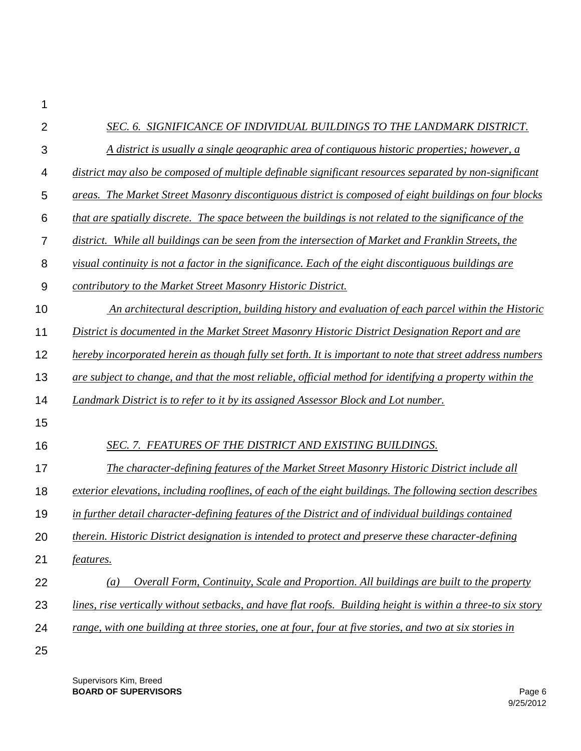| 2  | SEC. 6. SIGNIFICANCE OF INDIVIDUAL BUILDINGS TO THE LANDMARK DISTRICT.                                       |
|----|--------------------------------------------------------------------------------------------------------------|
| 3  | A district is usually a single geographic area of contiguous historic properties; however, a                 |
| 4  | district may also be composed of multiple definable significant resources separated by non-significant       |
| 5  | areas. The Market Street Masonry discontiguous district is composed of eight buildings on four blocks        |
| 6  | that are spatially discrete. The space between the buildings is not related to the significance of the       |
| 7  | district. While all buildings can be seen from the intersection of Market and Franklin Streets, the          |
| 8  | yisual continuity is not a factor in the significance. Each of the eight discontiguous buildings are         |
| 9  | contributory to the Market Street Masonry Historic District.                                                 |
| 10 | An architectural description, building history and evaluation of each parcel within the Historic             |
| 11 | District is documented in the Market Street Masonry Historic District Designation Report and are             |
| 12 | hereby incorporated herein as though fully set forth. It is important to note that street address numbers    |
| 13 | are subject to change, and that the most reliable, official method for identifying a property within the     |
| 14 | Landmark District is to refer to it by its assigned Assessor Block and Lot number.                           |
| 15 |                                                                                                              |
| 16 | SEC. 7. FEATURES OF THE DISTRICT AND EXISTING BUILDINGS.                                                     |
| 17 | The character-defining features of the Market Street Masonry Historic District include all                   |
| 18 | exterior elevations, including rooflines, of each of the eight buildings. The following section describes    |
| 19 | in further detail character-defining features of the District and of individual buildings contained          |
| 20 | therein. Historic District designation is intended to protect and preserve these character-defining          |
| 21 | features.                                                                                                    |
| 22 | Overall Form, Continuity, Scale and Proportion. All buildings are built to the property<br>$\left(a\right)$  |
| 23 | lines, rise vertically without setbacks, and have flat roofs. Building height is within a three-to six story |
| 24 | range, with one building at three stories, one at four, four at five stories, and two at six stories in      |
| 25 |                                                                                                              |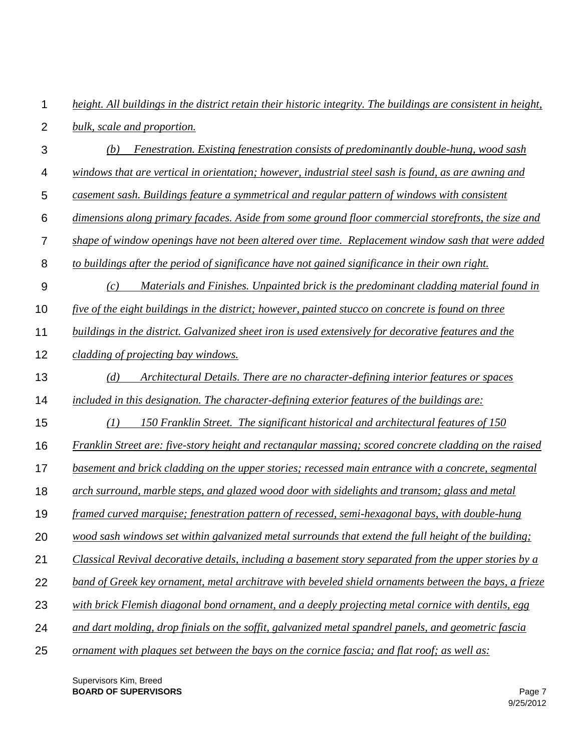| 1              | height. All buildings in the district retain their historic integrity. The buildings are consistent in height, |
|----------------|----------------------------------------------------------------------------------------------------------------|
| $\overline{2}$ | bulk, scale and proportion.                                                                                    |
| 3              | Fenestration. Existing fenestration consists of predominantly double-hung, wood sash<br>(b)                    |
| 4              | windows that are vertical in orientation; however, industrial steel sash is found, as are awning and           |
| 5              | casement sash. Buildings feature a symmetrical and regular pattern of windows with consistent                  |
| 6              | dimensions along primary facades. Aside from some ground floor commercial storefronts, the size and            |
| 7              | shape of window openings have not been altered over time. Replacement window sash that were added              |
| 8              | to buildings after the period of significance have not gained significance in their own right.                 |
| 9              | Materials and Finishes. Unpainted brick is the predominant cladding material found in<br>(c)                   |
| 10             | five of the eight buildings in the district; however, painted stucco on concrete is found on three             |
| 11             | buildings in the district. Galvanized sheet iron is used extensively for decorative features and the           |
| 12             | cladding of projecting bay windows.                                                                            |
| 13             | Architectural Details. There are no character-defining interior features or spaces<br>(d)                      |
| 14             | included in this designation. The character-defining exterior features of the buildings are:                   |
| 15             | 150 Franklin Street. The significant historical and architectural features of 150<br>(1)                       |
| 16             | <b>Franklin Street are: five-story height and rectangular massing; scored concrete cladding on the raised</b>  |
| 17             | basement and brick cladding on the upper stories; recessed main entrance with a concrete, segmental            |
| 18             | arch surround, marble steps, and glazed wood door with sidelights and transom; glass and metal                 |
| 19             | framed curved marquise; fenestration pattern of recessed, semi-hexagonal bays, with double-hung                |
| 20             | wood sash windows set within galvanized metal surrounds that extend the full height of the building;           |
| 21             | Classical Revival decorative details, including a basement story separated from the upper stories by a         |
| 22             | band of Greek key ornament, metal architrave with beveled shield ornaments between the bays, a frieze          |
| 23             | with brick Flemish diagonal bond ornament, and a deeply projecting metal cornice with dentils, egg             |
| 24             | and dart molding, drop finials on the soffit, galvanized metal spandrel panels, and geometric fascia           |
| 25             | ornament with plaques set between the bays on the cornice fascia; and flat roof; as well as:                   |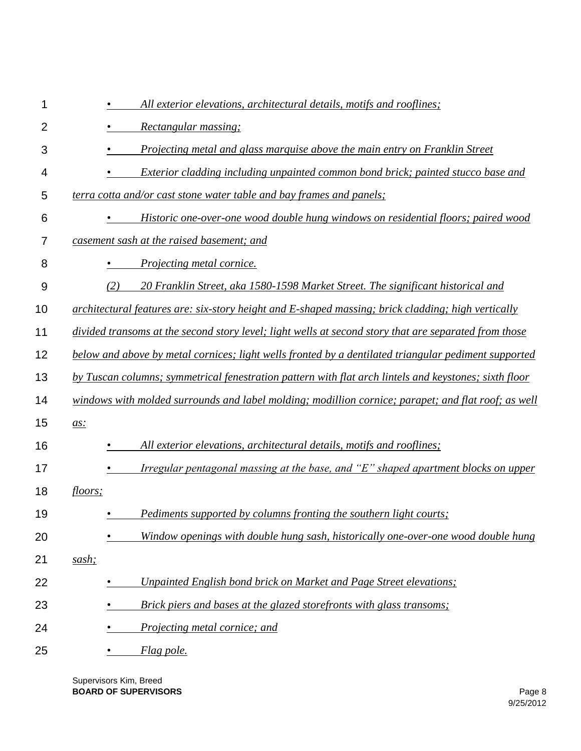| 1                | All exterior elevations, architectural details, motifs and rooflines;                                 |
|------------------|-------------------------------------------------------------------------------------------------------|
| $\overline{2}$   | Rectangular massing;                                                                                  |
| 3                | Projecting metal and glass marquise above the main entry on Franklin Street                           |
| 4                | Exterior cladding including unpainted common bond brick; painted stucco base and                      |
| 5                | terra cotta and/or cast stone water table and bay frames and panels;                                  |
| 6                | Historic one-over-one wood double hung windows on residential floors; paired wood                     |
| 7                | casement sash at the raised basement; and                                                             |
| 8                | <i>Projecting metal cornice.</i>                                                                      |
| $\boldsymbol{9}$ | (2)<br>20 Franklin Street, aka 1580-1598 Market Street. The significant historical and                |
| 10               | architectural features are: six-story height and E-shaped massing; brick cladding; high vertically    |
| 11               | divided transoms at the second story level; light wells at second story that are separated from those |
| 12               | below and above by metal cornices; light wells fronted by a dentilated triangular pediment supported  |
| 13               | by Tuscan columns; symmetrical fenestration pattern with flat arch lintels and keystones; sixth floor |
| 14               | windows with molded surrounds and label molding; modillion cornice; parapet; and flat roof; as well   |
| 15               | $\overline{a}$ s:                                                                                     |
| 16               | All exterior elevations, architectural details, motifs and rooflines;                                 |
| 17               | <u>Irregular pentagonal massing at the base, and "E" shaped apartment blocks on upper</u>             |
| 18               | floors;                                                                                               |
| 19               | Pediments supported by columns fronting the southern light courts;                                    |
| 20               | Window openings with double hung sash, historically one-over-one wood double hung                     |
| 21               | sash;                                                                                                 |
| 22               | Unpainted English bond brick on Market and Page Street elevations;                                    |
| 23               | Brick piers and bases at the glazed storefronts with glass transoms;                                  |
| 24               | Projecting metal cornice; and                                                                         |
| 25               | Flag pole.                                                                                            |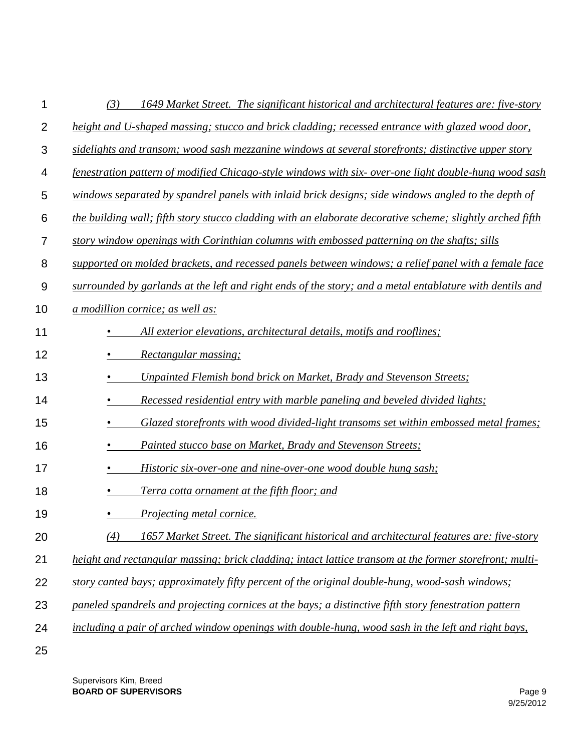| 1  | 1649 Market Street. The significant historical and architectural features are: five-story<br>(3)          |
|----|-----------------------------------------------------------------------------------------------------------|
| 2  | height and U-shaped massing; stucco and brick cladding; recessed entrance with glazed wood door,          |
| 3  | sidelights and transom; wood sash mezzanine windows at several storefronts; distinctive upper story       |
| 4  | fenestration pattern of modified Chicago-style windows with six-over-one light double-hung wood sash      |
| 5  | windows separated by spandrel panels with inlaid brick designs; side windows angled to the depth of       |
| 6  | the building wall; fifth story stucco cladding with an elaborate decorative scheme; slightly arched fifth |
| 7  | story window openings with Corinthian columns with embossed patterning on the shafts; sills               |
| 8  | supported on molded brackets, and recessed panels between windows; a relief panel with a female face      |
| 9  | surrounded by garlands at the left and right ends of the story; and a metal entablature with dentils and  |
| 10 | a modillion cornice; as well as:                                                                          |
| 11 | All exterior elevations, architectural details, motifs and rooflines;                                     |
| 12 | Rectangular massing;                                                                                      |
| 13 | Unpainted Flemish bond brick on Market, Brady and Stevenson Streets;                                      |
| 14 | Recessed residential entry with marble paneling and beveled divided lights;                               |
| 15 | Glazed storefronts with wood divided-light transoms set within embossed metal frames;                     |
| 16 | Painted stucco base on Market, Brady and Stevenson Streets;                                               |
| 17 | Historic six-over-one and nine-over-one wood double hung sash;                                            |
| 18 | Terra cotta ornament at the fifth floor; and                                                              |
| 19 | <i>Projecting metal cornice.</i>                                                                          |
| 20 | 1657 Market Street. The significant historical and architectural features are: five-story<br>(4)          |
| 21 | height and rectangular massing; brick cladding; intact lattice transom at the former storefront; multi-   |
| 22 | story canted bays; approximately fifty percent of the original double-hung, wood-sash windows;            |
| 23 | paneled spandrels and projecting cornices at the bays; a distinctive fifth story fenestration pattern     |
| 24 | including a pair of arched window openings with double-hung, wood sash in the left and right bays,        |
| 25 |                                                                                                           |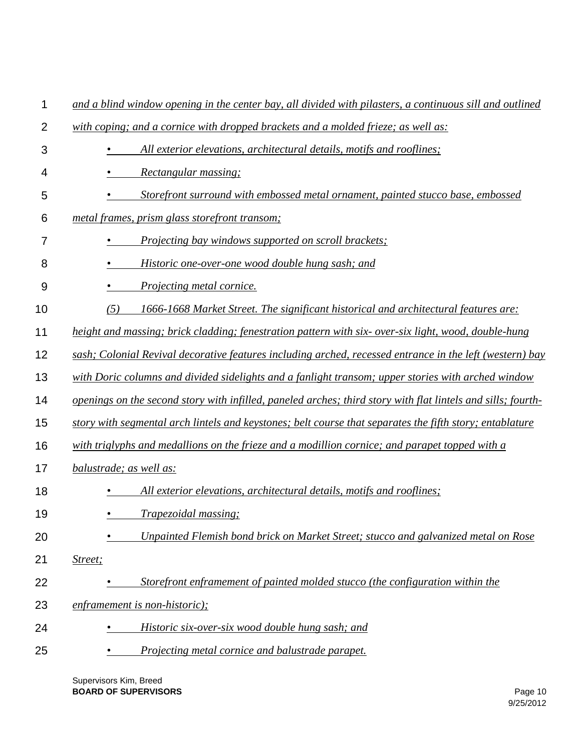| 1              | and a blind window opening in the center bay, all divided with pilasters, a continuous sill and outlined     |
|----------------|--------------------------------------------------------------------------------------------------------------|
| $\overline{2}$ | with coping; and a cornice with dropped brackets and a molded frieze; as well as:                            |
| 3              | All exterior elevations, architectural details, motifs and rooflines;                                        |
| 4              | Rectangular massing;                                                                                         |
| 5              | Storefront surround with embossed metal ornament, painted stucco base, embossed                              |
| 6              | metal frames, prism glass storefront transom;                                                                |
| 7              | <i>Projecting bay windows supported on scroll brackets;</i>                                                  |
| 8              | Historic one-over-one wood double hung sash; and                                                             |
| 9              | Projecting metal cornice.                                                                                    |
| 10             | (5)<br>1666-1668 Market Street. The significant historical and architectural features are:                   |
| 11             | height and massing; brick cladding; fenestration pattern with six- over-six light, wood, double-hung         |
| 12             | sash; Colonial Revival decorative features including arched, recessed entrance in the left (western) bay     |
| 13             | with Doric columns and divided sidelights and a fanlight transom; upper stories with arched window           |
| 14             | openings on the second story with infilled, paneled arches; third story with flat lintels and sills; fourth- |
| 15             | story with segmental arch lintels and keystones; belt course that separates the fifth story; entablature     |
| 16             | with triglyphs and medallions on the frieze and a modillion cornice; and parapet topped with a               |
| 17             | balustrade; as well as:                                                                                      |
| 18             | All exterior elevations, architectural details, motifs and rooflines;                                        |
| 19             | <i>Trapezoidal massing;</i>                                                                                  |
| 20             | Unpainted Flemish bond brick on Market Street; stucco and galvanized metal on Rose                           |
| 21             | Street;                                                                                                      |
| 22             | Storefront enframement of painted molded stucco (the configuration within the                                |
| 23             | enframement is non-historic);                                                                                |
| 24             | Historic six-over-six wood double hung sash; and                                                             |
| 25             | Projecting metal cornice and balustrade parapet.                                                             |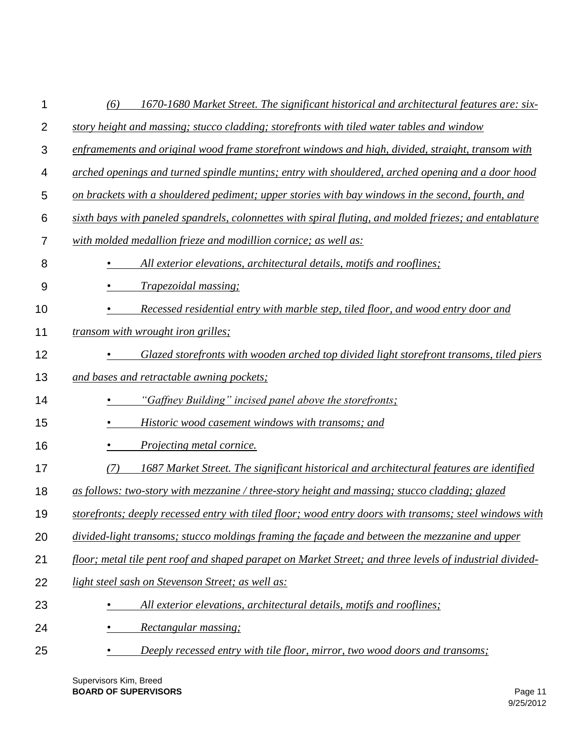| 1              | 1670-1680 Market Street. The significant historical and architectural features are: six-<br>(6)          |
|----------------|----------------------------------------------------------------------------------------------------------|
| $\overline{2}$ | story height and massing; stucco cladding; storefronts with tiled water tables and window                |
| 3              | enframements and original wood frame storefront windows and high, divided, straight, transom with        |
| 4              | arched openings and turned spindle muntins; entry with shouldered, arched opening and a door hood        |
| 5              | on brackets with a shouldered pediment; upper stories with bay windows in the second, fourth, and        |
| 6              | sixth bays with paneled spandrels, colonnettes with spiral fluting, and molded friezes; and entablature  |
| 7              | with molded medallion frieze and modillion cornice; as well as:                                          |
| 8              | All exterior elevations, architectural details, motifs and rooflines;                                    |
| 9              | <i>Trapezoidal massing;</i>                                                                              |
| 10             | Recessed residential entry with marble step, tiled floor, and wood entry door and                        |
| 11             | transom with wrought iron grilles;                                                                       |
| 12             | Glazed storefronts with wooden arched top divided light storefront transoms, tiled piers                 |
| 13             | and bases and retractable awning pockets;                                                                |
| 14             | "Gaffney Building" incised panel above the storefronts;                                                  |
| 15             | Historic wood casement windows with transoms; and                                                        |
| 16             | <i><u>Projecting metal cornice.</u></i>                                                                  |
| 17             | 1687 Market Street. The significant historical and architectural features are identified<br>(7)          |
| 18             | as follows: two-story with mezzanine / three-story height and massing; stucco cladding; glazed           |
| 19             | storefronts; deeply recessed entry with tiled floor; wood entry doors with transoms; steel windows with  |
| 20             | divided-light transoms; stucco moldings framing the façade and between the mezzanine and upper           |
| 21             | floor; metal tile pent roof and shaped parapet on Market Street; and three levels of industrial divided- |
| 22             | light steel sash on Stevenson Street; as well as:                                                        |
| 23             | All exterior elevations, architectural details, motifs and rooflines;                                    |
| 24             | Rectangular massing;                                                                                     |
| 25             | Deeply recessed entry with tile floor, mirror, two wood doors and transoms;                              |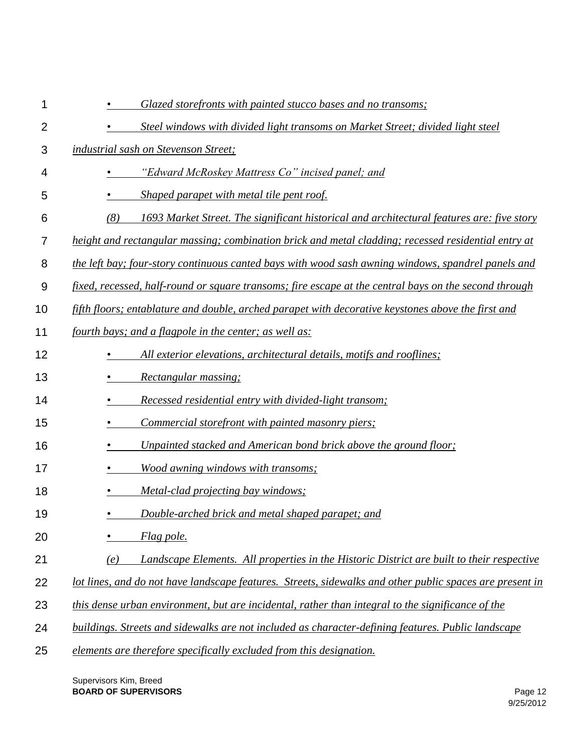| 1              | Glazed storefronts with painted stucco bases and no transoms;                                            |
|----------------|----------------------------------------------------------------------------------------------------------|
| $\overline{2}$ | Steel windows with divided light transoms on Market Street; divided light steel                          |
| 3              | industrial sash on Stevenson Street;                                                                     |
| 4              | "Edward McRoskey Mattress Co" incised panel; and                                                         |
| 5              | Shaped parapet with metal tile pent roof.                                                                |
| 6              | (8)<br>1693 Market Street. The significant historical and architectural features are: five story         |
| 7              | height and rectangular massing; combination brick and metal cladding; recessed residential entry at      |
| 8              | the left bay; four-story continuous canted bays with wood sash awning windows, spandrel panels and       |
| 9              | fixed, recessed, half-round or square transoms; fire escape at the central bays on the second through    |
| 10             | fifth floors; entablature and double, arched parapet with decorative keystones above the first and       |
| 11             | fourth bays; and a flagpole in the center; as well as:                                                   |
| 12             | All exterior elevations, architectural details, motifs and rooflines;                                    |
| 13             | Rectangular massing;                                                                                     |
| 14             | Recessed residential entry with divided-light transom;                                                   |
| 15             | Commercial storefront with painted masonry piers;                                                        |
| 16             | Unpainted stacked and American bond brick above the ground floor;                                        |
| 17             | Wood awning windows with transoms;                                                                       |
| 18             | Metal-clad projecting bay windows;                                                                       |
| 19             | Double-arched brick and metal shaped parapet; and                                                        |
| 20             | Flag pole.                                                                                               |
| 21             | Landscape Elements. All properties in the Historic District are built to their respective<br>(e)         |
| 22             | lot lines, and do not have landscape features. Streets, sidewalks and other public spaces are present in |
| 23             | this dense urban environment, but are incidental, rather than integral to the significance of the        |
| 24             | buildings. Streets and sidewalks are not included as character-defining features. Public landscape       |
| 25             | elements are therefore specifically excluded from this designation.                                      |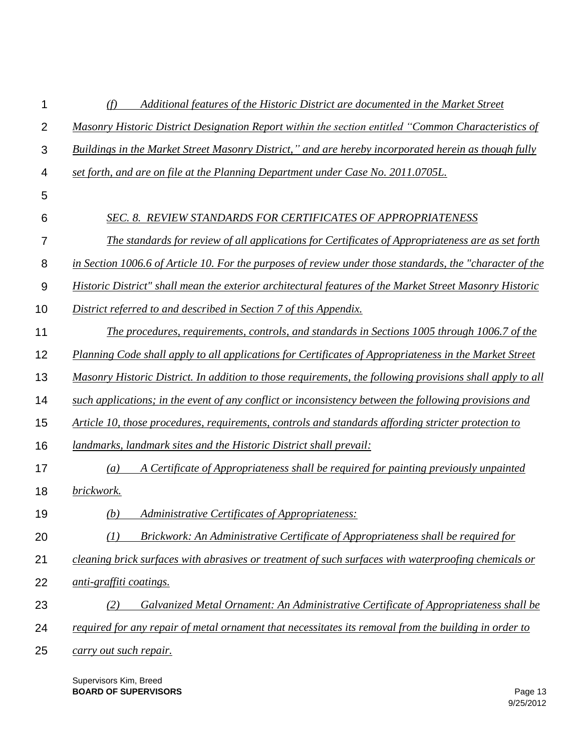| 1              | Additional features of the Historic District are documented in the Market Street<br>(f)                   |
|----------------|-----------------------------------------------------------------------------------------------------------|
| $\overline{2}$ | Masonry Historic District Designation Report within the section entitled "Common Characteristics of       |
| 3              | Buildings in the Market Street Masonry District," and are hereby incorporated herein as though fully      |
| 4              | set forth, and are on file at the Planning Department under Case No. 2011.0705L.                          |
| 5              |                                                                                                           |
| 6              | <b>SEC. 8. REVIEW STANDARDS FOR CERTIFICATES OF APPROPRIATENESS</b>                                       |
| 7              | The standards for review of all applications for Certificates of Appropriateness are as set forth         |
| 8              | in Section 1006.6 of Article 10. For the purposes of review under those standards, the "character of the  |
| 9              | Historic District" shall mean the exterior architectural features of the Market Street Masonry Historic   |
| 10             | District referred to and described in Section 7 of this Appendix.                                         |
| 11             | The procedures, requirements, controls, and standards in Sections 1005 through 1006.7 of the              |
| 12             | Planning Code shall apply to all applications for Certificates of Appropriateness in the Market Street    |
| 13             | Masonry Historic District. In addition to those requirements, the following provisions shall apply to all |
| 14             | such applications; in the event of any conflict or inconsistency between the following provisions and     |
| 15             | Article 10, those procedures, requirements, controls and standards affording stricter protection to       |
| 16             | <i>landmarks, landmark sites and the Historic District shall prevail:</i>                                 |
| 17             | A Certificate of Appropriateness shall be required for painting previously unpainted<br>$\left(a\right)$  |
| 18             | brickwork.                                                                                                |
| 19             | <b>Administrative Certificates of Appropriateness:</b><br>(b)                                             |
| 20             | Brickwork: An Administrative Certificate of Appropriateness shall be required for<br>(I)                  |
| 21             | cleaning brick surfaces with abrasives or treatment of such surfaces with waterproofing chemicals or      |
| 22             | anti-graffiti coatings.                                                                                   |
| 23             | Galvanized Metal Ornament: An Administrative Certificate of Appropriateness shall be<br>(2)               |
| 24             | required for any repair of metal ornament that necessitates its removal from the building in order to     |
| 25             | carry out such repair.                                                                                    |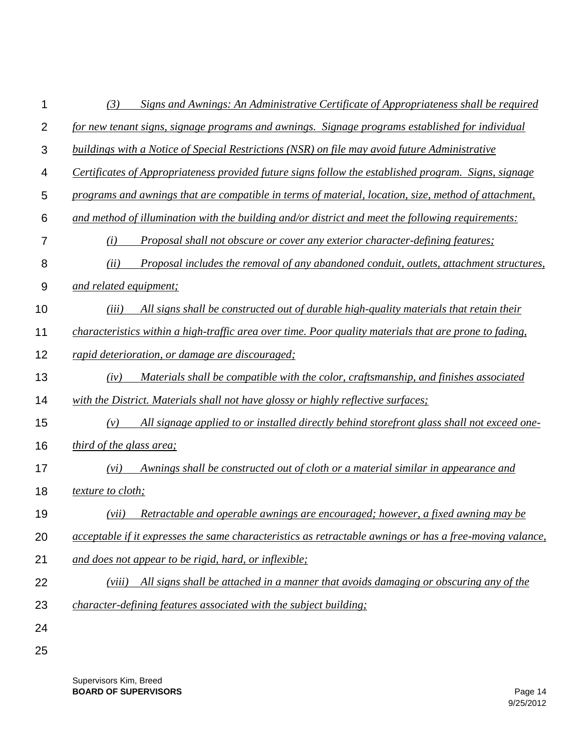| 1              | Signs and Awnings: An Administrative Certificate of Appropriateness shall be required<br>(3)             |
|----------------|----------------------------------------------------------------------------------------------------------|
| $\overline{2}$ | for new tenant signs, signage programs and awnings. Signage programs established for individual          |
| 3              | buildings with a Notice of Special Restrictions (NSR) on file may avoid future Administrative            |
| 4              | Certificates of Appropriateness provided future signs follow the established program. Signs, signage     |
| 5              | programs and awnings that are compatible in terms of material, location, size, method of attachment,     |
| 6              | and method of illumination with the building and/or district and meet the following requirements:        |
| 7              | Proposal shall not obscure or cover any exterior character-defining features;<br>(i)                     |
| 8              | (ii)<br>Proposal includes the removal of any abandoned conduit, outlets, attachment structures,          |
| 9              | and related equipment;                                                                                   |
| 10             | All signs shall be constructed out of durable high-quality materials that retain their<br>(iii)          |
| 11             | characteristics within a high-traffic area over time. Poor quality materials that are prone to fading,   |
| 12             | rapid deterioration, or damage are discouraged;                                                          |
| 13             | Materials shall be compatible with the color, craftsmanship, and finishes associated<br>(iv)             |
| 14             | with the District. Materials shall not have glossy or highly reflective surfaces;                        |
| 15             | All signage applied to or installed directly behind storefront glass shall not exceed one-<br>(v)        |
| 16             | <i>third of the glass area;</i>                                                                          |
| 17             | Awnings shall be constructed out of cloth or a material similar in appearance and<br>(vi)                |
| 18             | <i>texture to cloth;</i>                                                                                 |
| 19             | Retractable and operable awnings are encouraged; however, a fixed awning may be<br>(vii)                 |
| 20             | acceptable if it expresses the same characteristics as retractable awnings or has a free-moving valance, |
| 21             | and does not appear to be rigid, hard, or inflexible;                                                    |
| 22             | All signs shall be attached in a manner that avoids damaging or obscuring any of the<br>(viii)           |
| 23             | <i>character-defining features associated with the subject building:</i>                                 |
| 24             |                                                                                                          |
| 25             |                                                                                                          |